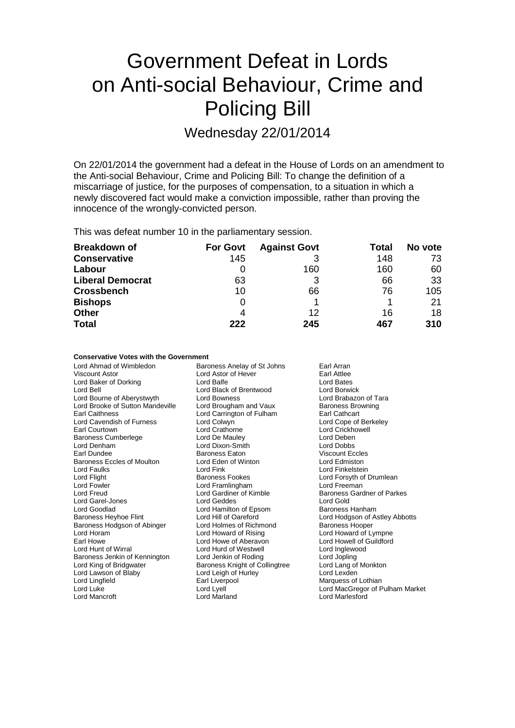# Government Defeat in Lords on Anti-social Behaviour, Crime and Policing Bill

Wednesday 22/01/2014

On 22/01/2014 the government had a defeat in the House of Lords on an amendment to the Anti-social Behaviour, Crime and Policing Bill: To change the definition of a miscarriage of justice, for the purposes of compensation, to a situation in which a newly discovered fact would make a conviction impossible, rather than proving the innocence of the wrongly-convicted person.

This was defeat number 10 in the parliamentary session.

| <b>Breakdown of</b>     | <b>For Govt</b> | <b>Against Govt</b> | Total | No vote |
|-------------------------|-----------------|---------------------|-------|---------|
| <b>Conservative</b>     | 145             |                     | 148   | 73      |
| Labour                  |                 | 160                 | 160   | 60      |
| <b>Liberal Democrat</b> | 63              | 3                   | 66    | 33      |
| <b>Crossbench</b>       | 10              | 66                  | 76    | 105     |
| <b>Bishops</b>          | 0               |                     |       | 21      |
| <b>Other</b>            | 4               | 12                  | 16    | 18      |
| <b>Total</b>            | 222             | 245                 | 467   | 310     |

### **Conservative Votes with the Government**

| Lord Lexden<br>Lord Leigh of Hurley<br>Lord Lawson of Blaby<br>Lord Lingfield<br>Earl Liverpool<br>Marquess of Lothian | Lord Ahmad of Wimbledon<br>Viscount Astor<br>Lord Baker of Dorking<br>Lord Bell<br>Lord Bourne of Aberystwyth<br>Lord Brooke of Sutton Mandeville<br><b>Earl Caithness</b><br>Lord Cavendish of Furness<br>Earl Courtown<br><b>Baroness Cumberlege</b><br>Lord Denham<br>Earl Dundee<br>Baroness Eccles of Moulton<br>Lord Faulks<br>Lord Flight<br>Lord Fowler<br><b>Lord Freud</b><br>Lord Garel-Jones<br>Lord Goodlad<br>Baroness Heyhoe Flint<br>Baroness Hodgson of Abinger<br>Lord Horam<br>Earl Howe<br>Lord Hunt of Wirral<br>Baroness Jenkin of Kennington<br>Lord King of Bridgwater | Baroness Anelay of St Johns<br>Lord Astor of Hever<br>Lord Balfe<br>Lord Black of Brentwood<br>Lord Bowness<br>Lord Brougham and Vaux<br>Lord Carrington of Fulham<br>Lord Colwyn<br>Lord Crathorne<br>Lord De Mauley<br>Lord Dixon-Smith<br>Baroness Eaton<br>Lord Eden of Winton<br>Lord Fink<br>Baroness Fookes<br>Lord Framlingham<br>Lord Gardiner of Kimble<br>Lord Geddes<br>Lord Hamilton of Epsom<br>Lord Hill of Oareford<br>Lord Holmes of Richmond<br>Lord Howard of Rising<br>Lord Howe of Aberavon<br>Lord Hurd of Westwell<br>Lord Jenkin of Roding<br>Baroness Knight of Collingtree | Earl Arran<br>Earl Attlee<br>Lord Bates<br>Lord Borwick<br>Lord Brabazon of Tara<br><b>Baroness Browning</b><br>Earl Cathcart<br>Lord Cope of Berkeley<br>Lord Crickhowell<br>Lord Deben<br><b>Lord Dobbs</b><br><b>Viscount Eccles</b><br>Lord Edmiston<br>Lord Finkelstein<br>Lord Forsyth of Drumlean<br>Lord Freeman<br>Baroness Gardner of Parkes<br>Lord Gold<br>Baroness Hanham<br>Lord Hodgson of Astley Abbotts<br><b>Baroness Hooper</b><br>Lord Howard of Lympne<br>Lord Howell of Guildford<br>Lord Inglewood<br>Lord Jopling<br>Lord Lang of Monkton |
|------------------------------------------------------------------------------------------------------------------------|------------------------------------------------------------------------------------------------------------------------------------------------------------------------------------------------------------------------------------------------------------------------------------------------------------------------------------------------------------------------------------------------------------------------------------------------------------------------------------------------------------------------------------------------------------------------------------------------|------------------------------------------------------------------------------------------------------------------------------------------------------------------------------------------------------------------------------------------------------------------------------------------------------------------------------------------------------------------------------------------------------------------------------------------------------------------------------------------------------------------------------------------------------------------------------------------------------|-------------------------------------------------------------------------------------------------------------------------------------------------------------------------------------------------------------------------------------------------------------------------------------------------------------------------------------------------------------------------------------------------------------------------------------------------------------------------------------------------------------------------------------------------------------------|
| Lord Lyell<br>Lord Luke<br><b>Lord Marlesford</b><br><b>Lord Mancroft</b><br>Lord Marland                              |                                                                                                                                                                                                                                                                                                                                                                                                                                                                                                                                                                                                |                                                                                                                                                                                                                                                                                                                                                                                                                                                                                                                                                                                                      | Lord MacGregor of Pulham Market                                                                                                                                                                                                                                                                                                                                                                                                                                                                                                                                   |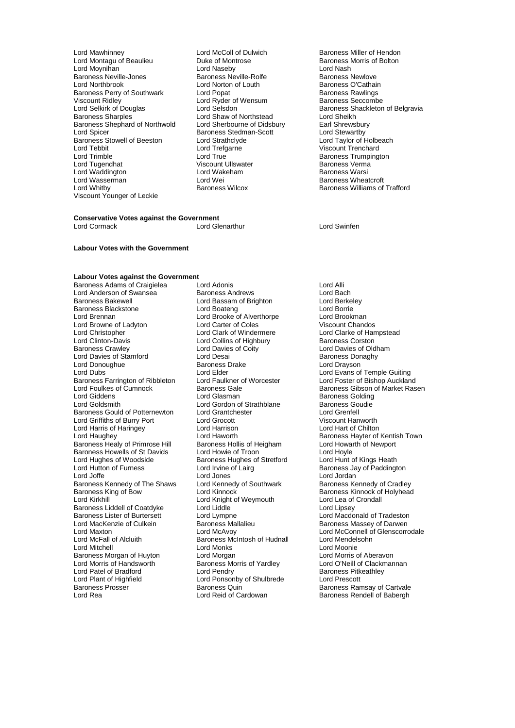- Lord Mawhinney **Lord McColl of Dulwich** Baroness Miller of Hendon<br>
Lord Montagu of Beaulieu **Baroness Montose** Baroness Morris of Bolton Lord Moynihan Lord Naseby Lord Nash Baroness Neville-Jones **Baroness Neville-Rolfe** Baroness Newlove<br>
Lord Northbrook **Baroness Communist Lord Norton of Louth** Baroness O'Cathain Baroness Perry of Southwark Lord Popat Communist Baroness Rawlings<br>
Viscount Ridley Combe Lord Ryder of Wensum<br>
Baroness Seccombe Viscount Ridley Lord Ryder of Wensum<br>
Lord Selsink of Douglas<br>
Lord Selsdon Lord Selkirk of Douglas Lord Selsdon Baroness Shackleton of Belgravia<br>
Baroness Sharples Cord Shaw of Northstead Lord Sheikh Baroness Shephard of Northwold Lord Sherbourne of Didsbury Lord Shewsbury<br>
Lord Spicer Baroness Stedman-Scott Lord Stewartby<br>
Baroness Stowell of Beeston Lord Strathclyde Lord Taylor of Holbeach Baroness Stowell of Beeston Lord Strathclyd<br>
Lord Tebbit Lord Trefaarne Lord Tebbit Lord Tefgarne Communication of Trenchard<br>
Lord Trimble Communication Communication Communication Communication Communication Communication Communicatio<br>
Lord Trimble Communication Communication Communication Co Lord Tugendhat Viscount Ullswater Baroness Verma Lord Waddington Lord Wakeham Baroness Lord Wakeham Baroness Warsing Warshall Cord Warsing Warshall Cord Warsin<br>Baroness Warsing Warsing Warshall Cord Wei Lord Wasserman Lord Wei **Communist Communist Communist Communist Communist Communist Communist Communist Communist Communist Communist Communist Communist Communist Communist Communist Communist Communist Communist Communi** Viscount Younger of Leckie
	- Duke of Montrose **Baroness Morris of Bolton**<br>
	Lord Naseby<br>
	Lord Nash Lord Norton of Louth **Baroness O'Cathain**<br>
	Lord Popat **Baroness Rawlings** Lord Shaw of Northstead **Lord Sheikh**<br>Lord Sherbourne of Didsbury **Lean Sheether Baroness Stedman-Scott**<br>Lord Strathclyde Lord True Lord True Lord Trumpington<br>
	Viscount Ullswater Lord Trumpington<br>
	Baroness Verma

## **Conservative Votes against the Government**

Lord Glenarthur **Lord Swinfen** 

### **Labour Votes with the Government**

## **Labour Votes against the Government**<br>Baroness Adams of Craigielea Lord Adonis

Lord Anderson of Swansea Baroness Andrews Lord Bach Baroness Blackstone **Lord Boateng** Lord Boateng Lord Boateng Lord Borrie<br>
Lord Brennan **Lord Brooke** Cloud Brooke of Alverthorpe Lord Brookman Lord Browne of Ladyton Lord Carter of Coles<br>
Lord Christopher Chandos Lord Clark of Windermere Lord Christopher **Lord Clark of Windermere** Lord Clarke of Hampstead<br>
Lord Clinton-Davis **Lord Collins of Highbury** Baroness Corston Lord Clinton-Davis<br>
Baroness Crawley 
Baroness Crawley

Lord Davies of Coity Lord Davies of Stamford Lord Desai Communication Corp. 2012 19:30 Baroness Donald Drayson Lord Drayson Lord Donoughue Baroness I<br>
Lord Dubs<br>
Lord Elder Baroness Farrington of Ribbleton Lord Faulkner of Lord Foulkes of Cumnock Baroness Gale Lord Giddens **Lord Glasman** Communications Colding Lord Glasman Baroness Golding<br>
Lord Goldsmith **Baroness Goudie**<br>
Lord Gordon of Strathblane Baroness Goudie Baroness Gould of Potternewton Lord Grantchester **Lord Grentell**<br>
Lord Griffiths of Burry Port Lord Grocott Lord Grocott Click Cristan Wiscount Hanworth Lord Griffiths of Burry Port Lord Grocott Viscount Hanworth Lord Harris of Haringey Lord Haughey **Lord Haworth** Baroness Hayter of Kentish Town<br>
Baroness Healy of Primrose Hill Baroness Hollis of Heigham Lord Howarth of Newport Baroness Healy of Primrose Hill Baroness Hollis of Heigham Lord Howarth Cord Howarth Order Howarth of New Port<br>Baroness Howells of St Davids Lord Howie of Troon Baroness Howells of St Davids<br>
Lord Howie of Troon Lord Hoyle<br>
Lord Hughes of Woodside Baroness Hughes of Stretford Lord Hunt of Kings Heath Lord Hughes of Woodside Baroness Hughes of Stretford<br>
Lord Hutton of Furness<br>
Lord Irvine of Lairg Lord Hutton of Furness Lord Irvine of Lairg Baroness Jay of Paddington Lord Joffe **Lord Jones** Lord Jones Lord Lord Jordan<br>Baroness Kennedy of The Shaws Lord Kennedy of Southwark **Baroness Kennety** Baroness Kennedy of The Shaws Lord Kennedy of Southwark Baroness Kennedy of Cradley<br>Baroness King of Bow Lord Kinnock Corad Kinnock Baroness Kinnock of Holyhead Baroness King of Bow **Lord Kinnock Baroness Kinnock of Holyhead**<br>Lord Kirkhill Lord Kinght of Weymouth Lord Lea of Crondall Baroness Liddell of Coatdyke Lord Liddle<br>Baroness Lister of Burtersett Lord Lympne Baroness Lister of Burtersett Lord Lympne Lord Macdonald of Tradeston Lord MacKenzie of Culkein **Baroness Mallalieu** Baroness Massey of Darwen<br>1991 Lord Maxton Baroness Mallalieu Baroness Massey of Darwen Lord McFall of Alcluith Baroness McIntosh of Hudnall<br>Lord Mitchell Cord Mendelsohness McIntosh of Hudnall Baroness Morgan of Huyton Lord Morgan<br>Lord Morris of Handsworth Baroness Morris of Yardley Lord Patel of Bradford<br>Lord Plant of Highfield Lord Plant of Highfield<br>
Lord Ponsonby of Shulbrede Lord Prescott<br>
Baroness Prosser Baroness Quin Baroness Rar Baroness Prosser **Baroness Access** Baroness Quin Baroness Ramsay of Cartvale<br>
Lord Rea **Baroness Rendell of Babergh**<br>
Lord Reid of Cardowan Baroness Rendell of Babergh

Baroness Adams of Craigielea Lord Adonis Lord Adonis Lord Anderson of Swansea Baroness Andrews Lord Bach Lord Bassam of Brighton Lord Berkel<br>
Lord Boateng Cord Borrie Lord Brooke of Alverthorpe Lord Brookman<br>
Lord Carter of Coles 
Viscount Chandos Lord Davies of Coity<br>
Lord Desai Baroness Donaghy<br>
Baroness Donaghy Lord Gordon of Strathblane Baroness Goudies<br>
Baroness Goudies<br>
Lord Grenfell Lord Knight of Weymouth Lord Lea of<br>
Lord Liddle Lord Lipsev Lord Mitchell Lord Monks Lord Moonie Baroness Morris of Yardley **Lord O'Neill of Clackmannan**<br>
Lord Pendry **Baroness Pitkeathley** 

Baroness Williams of Trafford

Lord Elder<br>
Lord Evans of Temple Guiting<br>
Lord Foster of Bishop Auckland Lord Foulkes of Cumnock **Baroness Gale** Baroness Gale Baroness Gibson of Market Rasen<br>
Baroness Golding<br>
Baroness Golding Lord Maxton **Lord McAvoy** Lord McAvoy **Lord McConnell of Glenscorrodale**<br>
Lord McFall of Alcluith **Baroness McIntosh of Hudnall** Lord Mendelsohn Baroness Rendell of Babergh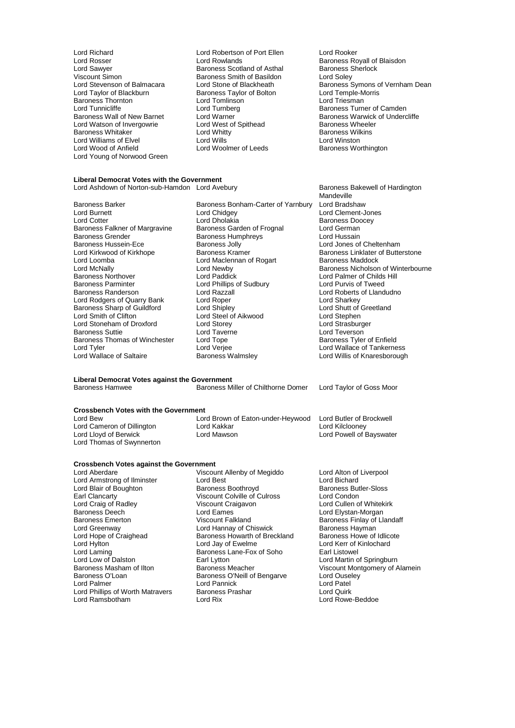Lord Rosser **Lord Rowlands** Cord Rosser Exercise Royall of Blaisdon<br>
Lord Sawyer **Baroness Scotland of Asthal** Baroness Sherlock Lord Sawyer **Baroness Scotland of Asthal** Baroness Scotland of Asthal Baroness Smith of Basildon Viscount Simon 6 Balmacara Baroness Smith of Basildon<br>
Lord Stevenson of Balmacara Lord Stone of Blackheath Baroness Thornton Lord Tomlinson<br>
Lord Tunnicliffe Lord Turnberg Lord Tunnicliffe Lord Turnberg Communication Camden<br>
Baroness Wall of New Barnet Lord Warner Communication Communication Communication Communication Communication Lord Watson of Invergowrie **Lord West of Spithead** Baroness Wheeler<br>Baroness Whitaker **Baroness Wilkins** Lord Whitty **Baroness Wilkins** Baroness Whitaker **Communist Search Controllering Controllering** Controllering Baroness Williams of Flyel Baroness Williams of Flyel Baroness Williams of Flyel Baroness Williams of Flyel Baroness Williams of Flyel Baroness Lord Williams of Elvel **Lord Wills** Lord Wills **Lord Wills** Lord Winston Lord Winston Lord Woolmer of Leeds **Lord Wood Baroness Worthington** Lord Young of Norwood Green

Lord Richard Lord Robertson of Port Ellen Lord Rooker Exaroness Taylor of Bolton **Baroness Taylor of Bolton Correspondent** Lord Temple-Morris<br> **Baroness Taylor of Bolton Lord Triesman** Lord Woolmer of Leeds

Lord Stevenson of Balmacara Lord Stone of Blackheath Baroness Symons of Vernham Dean<br>Lord Tavlor of Blackburn Baroness Tavlor of Bolton Lord Temple-Morris Lord Warner **Baroness Warwick of Undercliffe**<br>
Lord West of Spithead **Baroness Wheeler** 

**Liberal Democrat Votes with the Government** Lord Ashdown of Norton-sub-Hamdon Lord Avebury **Baroness Bakewell of Hardington** 

Baroness Hussein-Ece Baroness Jolly<br>
Lord Kirkwood of Kirkhope Baroness Kramer Lord Loomba<br>
Lord Maclennan of Rogart<br>
Lord Mewby<br>
Lord Newby Baroness Parminter **Lord Phillips of Sudbury**<br> **Baroness Randerson Lord Razzall** Lord Stoneham of Droxford Lord Storey<br>
Baroness Suttie Lord Taverne Baroness Thomas of Winchester Lord Tope<br>Lord Tyler baroness Thomas of Winchester Lord Veriee

Baroness Barker Baroness Bonham-Carter of Yarnbury Lord Bradshaw<br>Lord Burnett Lord Chidgey Lord Chement-Ju Lord Burnett Lord Chidgey Lord Clement-Jones Lord Dholakia **Baroness Doocey**<br>
Baroness Garden of Frognal **Baroness Doocey** Baroness Falkner of Margravine Baroness Garden of Frognal Lord German<br>Baroness Grender Baroness Humphrevs Lord Hussain Baroness Humphreys<br>
Baroness Jolly<br>
Lord Jones of Cheltenham Lord Kirkwood of Kirkhope **Baroness Kramer** Baroness Linklater of Butterstone<br>
Lord Maclennan of Rogart Baroness Maddock Baroness Northover **Lord Paddick** Lord Paddick Lord Palmer of Childs Hill<br>
Baroness Parminter **Lord Pullips of Sudbury** Lord Purvis of Tweed Lord Razzall **Lord Roberts of Llandudno**<br>
Lord Robert **Lord Sharkey** Lord Rodgers of Quarry Bank Lord Roper Lord Cord Cord Sharkey<br>
Baroness Sharp of Guildford Lord Shipley Lord Shutt of Greetland Baroness Sharp of Guildford Lord Shipley<br>
Lord Smith of Clifton Lord Steel of Aikwood Lord Stephen Lord Steel of Aikwood Lord Stephen<br>
Lord Strasburger<br>
Lord Strasburger Lord Taverne<br>
Lord Tope<br>
Baroness Tyler of Enfield Lord Tyler Lord Verjee<br>
Lord Wallace of Saltaire **Lord Wallace of Tankerness**<br>
Lord Wallace of Saltaire **Baroness Walmsley** Lord Willis of Knaresborough

Mandeville Lord McNally Lord Newby Corporation Corporation Corporation Corporation Corporation Corporation Corporation Co<br>Baroness Northover Corporation Corporation Corporation Corporation Corporation Corporation Corporation Corpora Lord Willis of Knaresborough

**Liberal Democrat Votes against the Government**

Baroness Hamwee **Baroness Miller of Chilthorne Domer** Lord Taylor of Goss Moor

## **Crossbench Votes with the Government**

Lord Bew Lord Brown of Eaton-under-Heywood Lord Butler of Brockwell<br>Lord Cameron of Dillington Lord Kakkar Lord Kakkar Lord Kilclooney Lord Cameron of Dillington Lord Kakkar<br>
Lord Lloyd of Berwick Lord Mawson Lord Thomas of Swynnerton

**Crossbench Votes against the Government**<br>Lord Aberdare Viscour

Lord Armstrong of Ilminster Lord Best<br>
Lord Blair of Boughton<br>
Baroness Boothroyd Lord Blair of Boughton Baroness Boothroyd Baroness Butler-Sloss Earl Clancarty Viscount Colville of Culross<br>
Lord Craig of Radley Viscount Craigavon Lord Craig of Radley **Craigavia Craigavia Craigavon** Lord Cullen of Whitekirk<br>Baroness Deech **Lord Cames** Lord Cames Lord Elystan-Morgan Baroness Deech Lord Eames Lord Elystan-Morgan Baroness Emerton Viscount Falkland Baroness Finlay of Llandaff Lord Greenway **Lord Hannay of Chiswick** Baroness Hayman<br>
Lord Hope of Craighead Baroness Howarth of Breckland Baroness Howe of Idlicote Lord Hope of Craighead Baroness Howarth of Breckland<br>Lord Hylton Baroness Howe of Ewelme Lord Hylton <u>Cornel</u> Lord Jay of Ewelme Cornel Lord Kerr of Kinlochard<br>
Lord Laming Cornel Baroness Lane-Fox of Soho Earl Listowel Lord Laming Baroness Lane-Fox of Soho<br>
Lord Low of Dalston<br>
Earl Lytton Lord Low of Dalston **Earl Lytton** Earl Lytton Lord Martin of Springburn<br>Baroness Masham of Ilton Baroness Meacher **Communist Constructs** Viscount Montgomery of A Baroness Masham of Ilton Baroness Meacher Viscount Montgomery of Alamein<br>Baroness O'Loan Baroness O'Neill of Bengarve Lord Ouselev Baroness O'Loan **Baroness O'Loan** Baroness O'Neill of Bengarve Lord Ousel<br>
Lord Palmer Lord Pannick Lord Pannick Lord Phillips of Worth Matravers Baroness<br>
Lord Ramsbotham Lord Rix

Viscount Allenby of Megiddo<br>
Lord Best<br>
Lord Bichard Lord Pannick **Lord Pannick** Lord Patel<br>
Baroness Prashar **Lord Quirk** 

Lord Powell of Bayswater

Lord Rowe-Beddoe